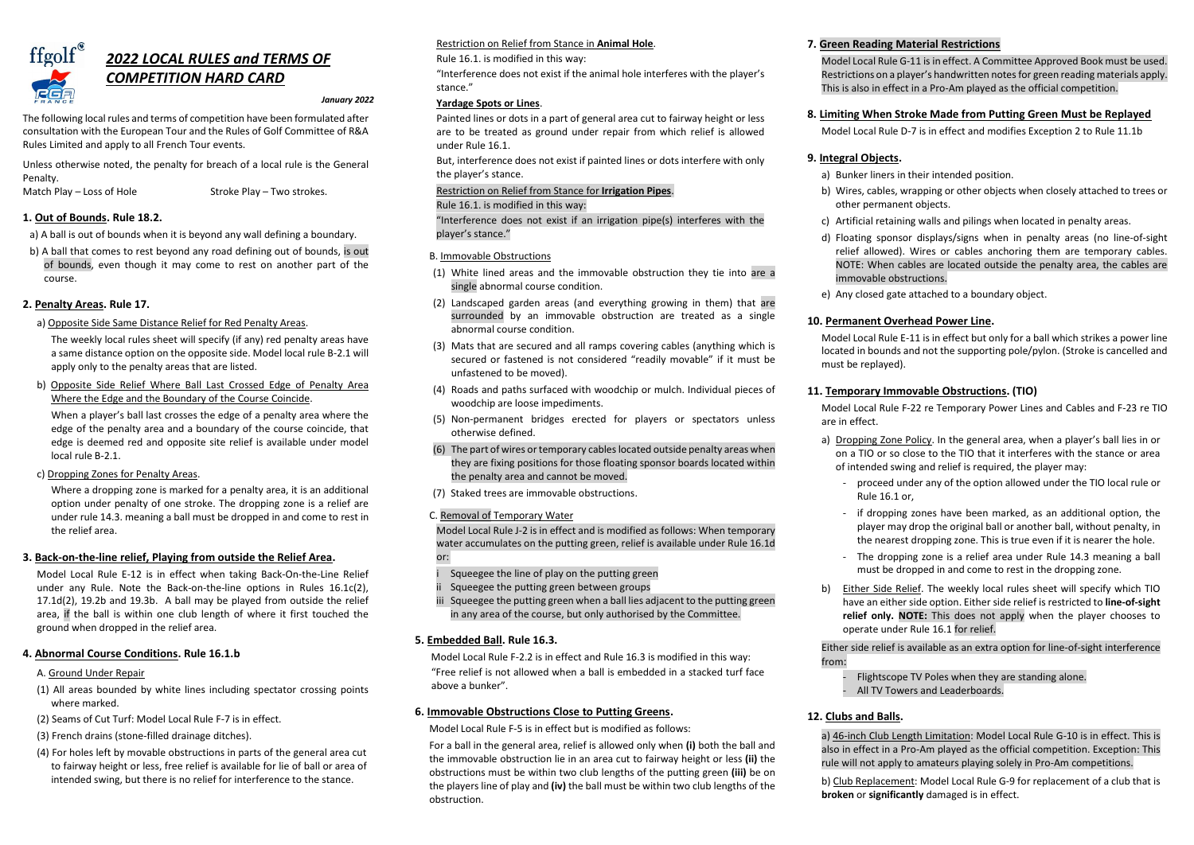

# *2022 LOCAL RULES and TERMS OF COMPETITION HARD CARD*

#### *January 2022*

The following local rules and terms of competition have been formulated after consultation with the European Tour and the Rules of Golf Committee of R&A Rules Limited and apply to all French Tour events.

Unless otherwise noted, the penalty for breach of a local rule is the General Penalty.

Match Play – Loss of Hole Stroke Play – Two strokes.

# **1. Out of Bounds. Rule 18.2.**

a) A ball is out of bounds when it is beyond any wall defining a boundary.

b) A ball that comes to rest beyond any road defining out of bounds, is out of bounds, even though it may come to rest on another part of the course.

# **2. Penalty Areas. Rule 17.**

a) Opposite Side Same Distance Relief for Red Penalty Areas.

The weekly local rules sheet will specify (if any) red penalty areas have a same distance option on the opposite side. Model local rule B-2.1 will apply only to the penalty areas that are listed.

b) Opposite Side Relief Where Ball Last Crossed Edge of Penalty Area Where the Edge and the Boundary of the Course Coincide.

When a player's ball last crosses the edge of a penalty area where the edge of the penalty area and a boundary of the course coincide, that edge is deemed red and opposite site relief is available under model local rule B-2.1.

c) Dropping Zones for Penalty Areas.

Where a dropping zone is marked for a penalty area, it is an additional option under penalty of one stroke. The dropping zone is a relief are under rule 14.3. meaning a ball must be dropped in and come to rest in the relief area.

# **3. Back-on-the-line relief, Playing from outside the Relief Area.**

Model Local Rule E-12 is in effect when taking Back-On-the-Line Relief under any Rule. Note the Back-on-the-line options in Rules 16.1c(2), 17.1d(2), 19.2b and 19.3b. A ball may be played from outside the relief area, if the ball is within one club length of where it first touched the ground when dropped in the relief area.

# **4. Abnormal Course Conditions. Rule 16.1.b**

### A. Ground Under Repair

- Squeegee the line of play on the putting green
- ii Squeegee the putting green between groups
- iii Squeegee the putting green when a ball lies adjacent to the putting green in any area of the course, but only authorised by the Committee.

- (1) All areas bounded by white lines including spectator crossing points where marked.
- (2) Seams of Cut Turf: Model Local Rule F-7 is in effect.
- (3) French drains (stone-filled drainage ditches).
- (4) For holes left by movable obstructions in parts of the general area cut to fairway height or less, free relief is available for lie of ball or area of intended swing, but there is no relief for interference to the stance.

# Restriction on Relief from Stance in **Animal Hole**.

### Rule 16.1. is modified in this way:

"Interference does not exist if the animal hole interferes with the player's stance."

## **Yardage Spots or Lines**.

Painted lines or dots in a part of general area cut to fairway height or less are to be treated as ground under repair from which relief is allowed under Rule 16.1.

But, interference does not exist if painted lines or dots interfere with only the player's stance.

### Restriction on Relief from Stance for **Irrigation Pipes**.

Rule 16.1. is modified in this way:

"Interference does not exist if an irrigation pipe(s) interferes with the player's stance."

### B. Immovable Obstructions

- (1) White lined areas and the immovable obstruction they tie into are a single abnormal course condition.
- (2) Landscaped garden areas (and everything growing in them) that are surrounded by an immovable obstruction are treated as a single abnormal course condition.
- (3) Mats that are secured and all ramps covering cables (anything which is secured or fastened is not considered "readily movable" if it must be unfastened to be moved).
- (4) Roads and paths surfaced with woodchip or mulch. Individual pieces of woodchip are loose impediments.
- (5) Non-permanent bridges erected for players or spectators unless otherwise defined.
- (6) The part of wires or temporary cables located outside penalty areas when they are fixing positions for those floating sponsor boards located within the penalty area and cannot be moved.
- (7) Staked trees are immovable obstructions.

### C. Removal of Temporary Water

Model Local Rule J-2 is in effect and is modified as follows: When temporary water accumulates on the putting green, relief is available under Rule 16.1d or:

# **5. Embedded Ball. Rule 16.3.**

Model Local Rule F-2.2 is in effect and Rule 16.3 is modified in this way: "Free relief is not allowed when a ball is embedded in a stacked turf face above a bunker".

# **6. Immovable Obstructions Close to Putting Greens.**

Model Local Rule F-5 is in effect but is modified as follows:

For a ball in the general area, relief is allowed only when **(i)** both the ball and the immovable obstruction lie in an area cut to fairway height or less **(ii)** the obstructions must be within two club lengths of the putting green **(iii)** be on the players line of play and **(iv)** the ball must be within two club lengths of the obstruction.

# **7. Green Reading Material Restrictions**

Model Local Rule G-11 is in effect. A Committee Approved Book must be used. Restrictions on a player's handwritten notes for green reading materials apply. This is also in effect in a Pro-Am played as the official competition.

# **8. Limiting When Stroke Made from Putting Green Must be Replayed**

Model Local Rule D-7 is in effect and modifies Exception 2 to Rule 11.1b

#### **9. Integral Objects.**

a) Bunker liners in their intended position.

b) Wires, cables, wrapping or other objects when closely attached to trees or

- 
- other permanent objects.
- 
- 
- 

c) Artificial retaining walls and pilings when located in penalty areas.

d) Floating sponsor displays/signs when in penalty areas (no line-of-sight relief allowed). Wires or cables anchoring them are temporary cables. NOTE: When cables are located outside the penalty area, the cables are immovable obstructions.

e) Any closed gate attached to a boundary object.

# **10. Permanent Overhead Power Line.**

Model Local Rule E-11 is in effect but only for a ball which strikes a power line located in bounds and not the supporting pole/pylon. (Stroke is cancelled and must be replayed).

# **11. Temporary Immovable Obstructions. (TIO)**

Model Local Rule F-22 re Temporary Power Lines and Cables and F-23 re TIO

are in effect.

a) Dropping Zone Policy. In the general area, when a player's ball lies in or on a TIO or so close to the TIO that it interferes with the stance or area of intended swing and relief is required, the player may:

- proceed under any of the option allowed under the TIO local rule or

- - Rule 16.1 or,
	-
	-
- 

- if dropping zones have been marked, as an additional option, the player may drop the original ball or another ball, without penalty, in the nearest dropping zone. This is true even if it is nearer the hole.

- The dropping zone is a relief area under Rule 14.3 meaning a ball must be dropped in and come to rest in the dropping zone.

b) Either Side Relief. The weekly local rules sheet will specify which TIO have an either side option. Either side relief is restricted to **line-of-sight relief only. NOTE:** This does not apply when the player chooses to operate under Rule 16.1 for relief.

Either side relief is available as an extra option for line-of-sight interference

from:

- Flightscope TV Poles when they are standing alone. - All TV Towers and Leaderboards.

# **12. Clubs and Balls.**

a) 46-inch Club Length Limitation: Model Local Rule G-10 is in effect. This is also in effect in a Pro-Am played as the official competition. Exception: This rule will not apply to amateurs playing solely in Pro-Am competitions.

b) Club Replacement: Model Local Rule G-9 for replacement of a club that is **broken** or **significantly** damaged is in effect.